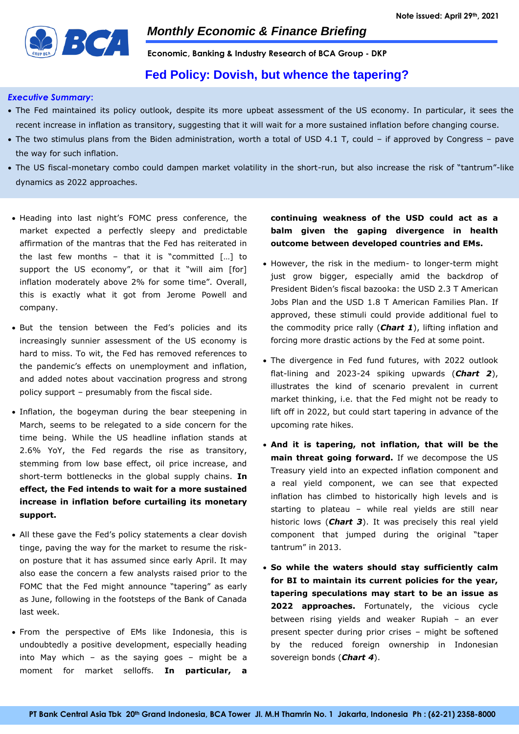

**Economic, Banking & Industry Research of BCA Group - DKP**

## **Fed Policy: Dovish, but whence the tapering?**

#### *Executive Summary***:**

- The Fed maintained its policy outlook, despite its more upbeat assessment of the US economy. In particular, it sees the recent increase in inflation as transitory, suggesting that it will wait for a more sustained inflation before changing course.
- The two stimulus plans from the Biden administration, worth a total of USD 4.1 T, could if approved by Congress pave the way for such inflation.
- The US fiscal-monetary combo could dampen market volatility in the short-run, but also increase the risk of "tantrum"-like dynamics as 2022 approaches.
- Heading into last night's FOMC press conference, the market expected a perfectly sleepy and predictable affirmation of the mantras that the Fed has reiterated in the last few months – that it is "committed  $[...]$  to support the US economy", or that it "will aim [for] inflation moderately above 2% for some time". Overall, this is exactly what it got from Jerome Powell and company.
- But the tension between the Fed's policies and its increasingly sunnier assessment of the US economy is hard to miss. To wit, the Fed has removed references to the pandemic's effects on unemployment and inflation, and added notes about vaccination progress and strong policy support – presumably from the fiscal side.
- Inflation, the bogeyman during the bear steepening in March, seems to be relegated to a side concern for the time being. While the US headline inflation stands at 2.6% YoY, the Fed regards the rise as transitory, stemming from low base effect, oil price increase, and short-term bottlenecks in the global supply chains. **In effect, the Fed intends to wait for a more sustained increase in inflation before curtailing its monetary support.**
- All these gave the Fed's policy statements a clear dovish tinge, paving the way for the market to resume the riskon posture that it has assumed since early April. It may also ease the concern a few analysts raised prior to the FOMC that the Fed might announce "tapering" as early as June, following in the footsteps of the Bank of Canada last week.
- From the perspective of EMs like Indonesia, this is undoubtedly a positive development, especially heading into May which – as the saying goes – might be a moment for market selloffs. **In particular, a**

## **continuing weakness of the USD could act as a balm given the gaping divergence in health outcome between developed countries and EMs.**

- However, the risk in the medium- to longer-term might just grow bigger, especially amid the backdrop of President Biden's fiscal bazooka: the USD 2.3 T American Jobs Plan and the USD 1.8 T American Families Plan. If approved, these stimuli could provide additional fuel to the commodity price rally (*Chart 1*), lifting inflation and forcing more drastic actions by the Fed at some point.
- The divergence in Fed fund futures, with 2022 outlook flat-lining and 2023-24 spiking upwards (*Chart 2*), illustrates the kind of scenario prevalent in current market thinking, i.e. that the Fed might not be ready to lift off in 2022, but could start tapering in advance of the upcoming rate hikes.
- **And it is tapering, not inflation, that will be the main threat going forward.** If we decompose the US Treasury yield into an expected inflation component and a real yield component, we can see that expected inflation has climbed to historically high levels and is starting to plateau – while real yields are still near historic lows (*Chart 3*). It was precisely this real yield component that jumped during the original "taper tantrum" in 2013.
- **So while the waters should stay sufficiently calm for BI to maintain its current policies for the year, tapering speculations may start to be an issue as**  2022 approaches. Fortunately, the vicious cycle between rising yields and weaker Rupiah – an ever present specter during prior crises – might be softened by the reduced foreign ownership in Indonesian sovereign bonds (*Chart 4*).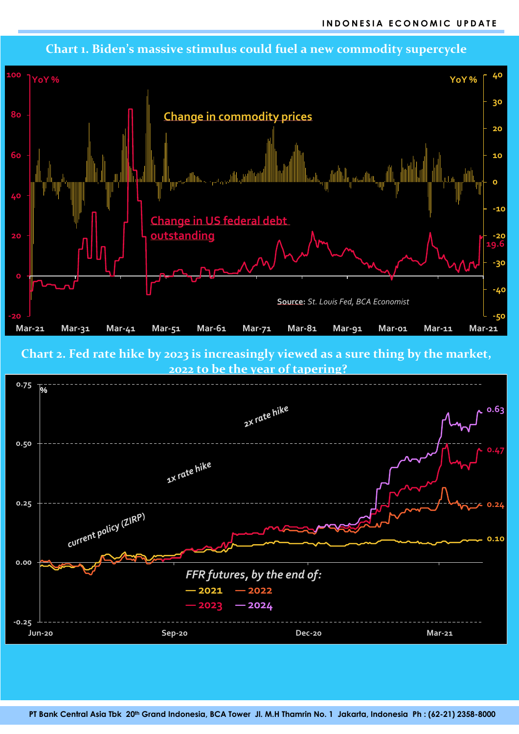

**Chart 2. Fed rate hike by 2023 is increasingly viewed as a sure thing by the market,** 



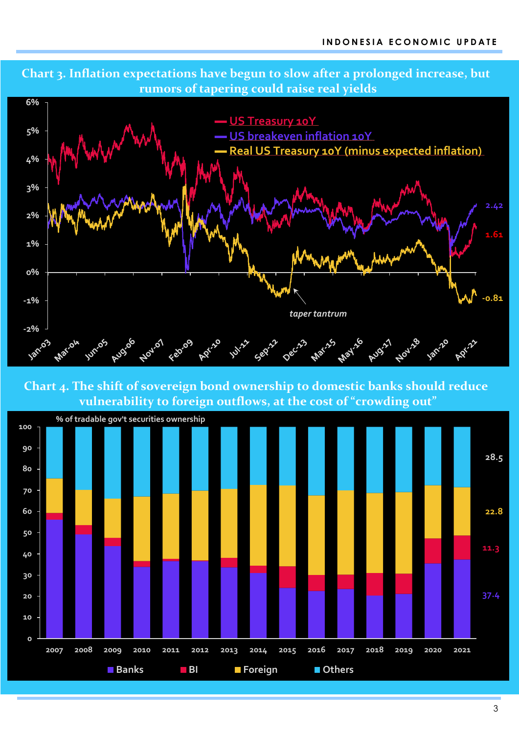



**Chart 4. The shift of sovereign bond ownership to domestic banks should reduce vulnerability to foreign outflows, at the cost of "crowding out"**

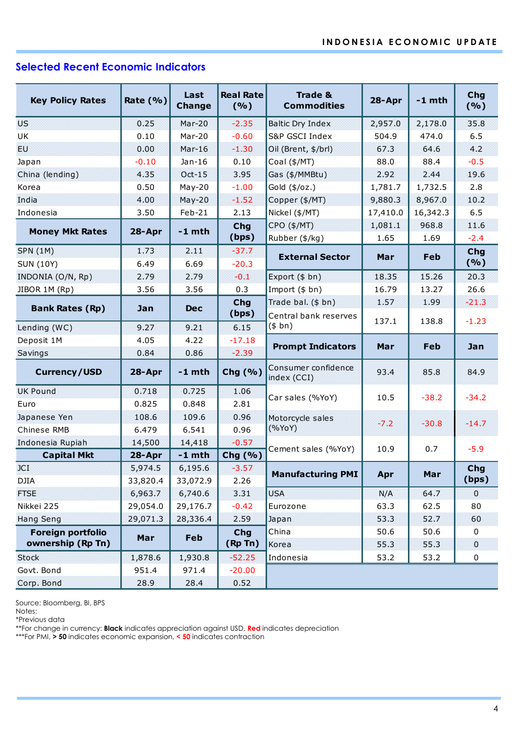# **Selected Recent Economic Indicators**

|                                        |             | Last<br><b>Change</b> | <b>Real Rate</b>            | <b>Trade &amp;</b>                 |              | $-1$ mth   | Chg<br>(%)  |  |  |  |
|----------------------------------------|-------------|-----------------------|-----------------------------|------------------------------------|--------------|------------|-------------|--|--|--|
| <b>Key Policy Rates</b>                | Rate $(% )$ |                       | (9/6)                       | <b>Commodities</b>                 | 28-Apr       |            |             |  |  |  |
| <b>US</b>                              | 0.25        | $Mar-20$              | $-2.35$<br>Baltic Dry Index |                                    | 2,957.0      | 2,178.0    | 35.8        |  |  |  |
| UK                                     | 0.10        | Mar-20                | $-0.60$                     | S&P GSCI Index                     | 504.9        | 474.0      | 6.5         |  |  |  |
| EU.                                    | 0.00        | $Mar-16$              | $-1.30$                     | Oil (Brent, \$/brl)                | 67.3         | 64.6       | 4.2         |  |  |  |
| Japan                                  | $-0.10$     | $Jan-16$              | 0.10                        | Coal (\$/MT)                       | 88.0         | 88.4       | $-0.5$      |  |  |  |
| China (lending)                        | 4.35        | $Oct-15$              | 3.95                        | Gas (\$/MMBtu)                     | 2.92         | 2.44       | 19.6        |  |  |  |
| Korea                                  | 0.50        | $May-20$              | $-1.00$                     | Gold (\$/oz.)                      | 1,781.7      | 1,732.5    | 2.8         |  |  |  |
| India                                  | 4.00        | $May-20$              | $-1.52$                     | Copper (\$/MT)                     | 9,880.3      | 8,967.0    | 10.2        |  |  |  |
| Indonesia                              | 3.50        | Feb-21                | 2.13                        | Nickel (\$/MT)                     | 17,410.0     | 16,342.3   | 6.5         |  |  |  |
|                                        |             | $-1$ mth              | <b>Chg</b>                  | CPO (\$/MT)                        | 1,081.1      | 968.8      | 11.6        |  |  |  |
| <b>Money Mkt Rates</b>                 | 28-Apr      |                       | (bps)                       | Rubber (\$/kg)                     | 1.65         | 1.69       | $-2.4$      |  |  |  |
| <b>SPN (1M)</b>                        | 1.73        | 2.11                  | $-37.7$                     | <b>External Sector</b>             | Mar          | <b>Feb</b> | Chg         |  |  |  |
| <b>SUN (10Y)</b>                       | 6.49        | 6.69                  | $-20.3$                     |                                    |              |            | (%)         |  |  |  |
| INDONIA (O/N, Rp)                      | 2.79        | 2.79                  | $-0.1$                      | Export (\$ bn)                     | 18.35        | 15.26      | 20.3        |  |  |  |
| JIBOR 1M (Rp)                          | 3.56        | 3.56                  | 0.3                         | Import (\$ bn)                     | 16.79        | 13.27      | 26.6        |  |  |  |
| <b>Bank Rates (Rp)</b>                 | Jan         | <b>Dec</b>            | Chg                         | Trade bal. (\$ bn)                 | 1.57         | 1.99       | $-21.3$     |  |  |  |
|                                        |             |                       | (bps)                       | Central bank reserves              | 137.1        | 138.8      | $-1.23$     |  |  |  |
| Lending (WC)                           | 9.27        | 9.21                  | 6.15                        | (\$bn)                             |              |            |             |  |  |  |
| Deposit 1M                             | 4.05        | 4.22                  | $-17.18$                    | <b>Prompt Indicators</b>           | Mar          | Feb        | Jan         |  |  |  |
| Savings                                | 0.84        | 0.86                  | $-2.39$                     |                                    |              |            |             |  |  |  |
| <b>Currency/USD</b>                    | 28-Apr      | $-1$ mth              | Chg (%)                     | Consumer confidence<br>index (CCI) | 93.4         | 85.8       | 84.9        |  |  |  |
| <b>UK Pound</b>                        | 0.718       | 0.725                 | 1.06                        | Car sales (%YoY)                   | 10.5         | $-38.2$    | $-34.2$     |  |  |  |
| Euro                                   | 0.825       | 0.848                 | 2.81                        |                                    |              |            |             |  |  |  |
| Japanese Yen                           | 108.6       | 109.6                 | 0.96                        | Motorcycle sales                   | $-7.2$       | $-30.8$    | $-14.7$     |  |  |  |
| Chinese RMB                            | 6.479       | 6.541                 | 0.96                        | (%YoY)                             |              |            |             |  |  |  |
| Indonesia Rupiah                       | 14,500      | 14,418                | $-0.57$                     | Cement sales (%YoY)                | 10.9         | 0.7        | $-5.9$      |  |  |  |
| <b>Capital Mkt</b>                     | 28-Apr      | $-1$ mth              | Chg (%)                     |                                    |              |            |             |  |  |  |
| JCI                                    | 5,974.5     | 6,195.6               | $-3.57$                     | <b>Manufacturing PMI</b>           | Apr          | Mar        | Chg         |  |  |  |
| DJIA                                   | 33,820.4    | 33,072.9              | 2.26                        |                                    |              |            | (bps)       |  |  |  |
| <b>FTSE</b>                            | 6,963.7     | 6,740.6               | 3.31                        | <b>USA</b>                         | N/A          | 64.7       | $\mathbf 0$ |  |  |  |
| Nikkei 225                             | 29,054.0    | 29,176.7              | $-0.42$<br>Eurozone         |                                    | 63.3<br>53.3 | 62.5       | 80          |  |  |  |
| <b>Hang Seng</b>                       | 29,071.3    | 28,336.4              |                             | 2.59<br>Japan                      |              | 52.7       | 60          |  |  |  |
| Foreign portfolio<br>Chg<br>Feb<br>Mar |             |                       | China                       | 50.6                               | 50.6         | 0          |             |  |  |  |
| ownership (Rp Tn)                      |             |                       | (Rp Tn)                     | Korea                              | 55.3         | 55.3       | $\pmb{0}$   |  |  |  |
| <b>Stock</b>                           | 1,878.6     | 1,930.8               | $-52.25$                    | Indonesia<br>53.2<br>53.2<br>0     |              |            |             |  |  |  |
| Govt. Bond                             | 951.4       | 971.4                 | $-20.00$                    |                                    |              |            |             |  |  |  |
| Corp. Bond                             | 28.9        | 28.4                  | 0.52                        |                                    |              |            |             |  |  |  |

Source: Bloomberg, BI, BPS

Notes:

\*Previous data

\*\*For change in currency: **Black** indicates appreciation against USD, **Red** indicates depreciation

\*\*\*For PMI, **> 50** indicates economic expansion, **< 50** indicates contraction